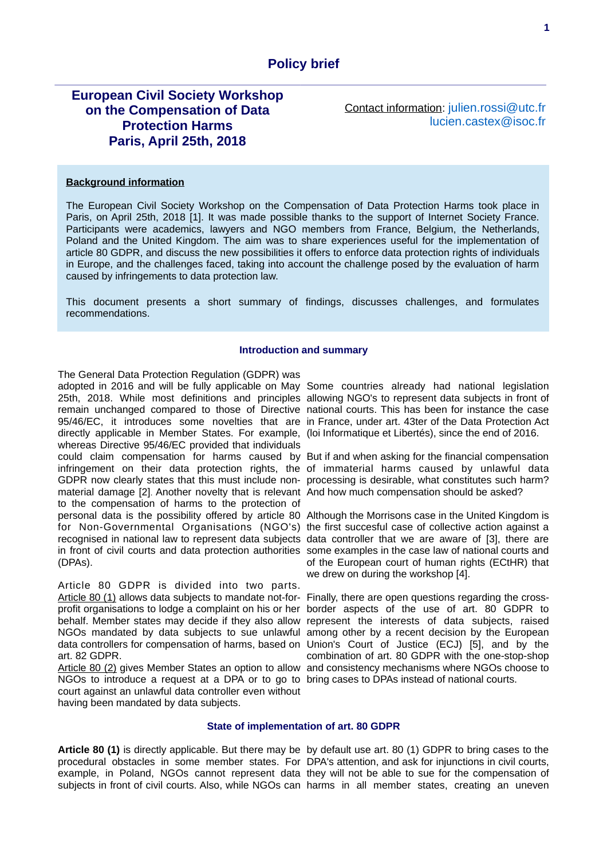# **European Civil Society Workshop on the Compensation of Data Protection Harms Paris, April 25th, 2018**

Contact information: [julien.rossi@utc.fr](mailto:julien.rossi@utc.fr) [lucien.castex@isoc.fr](mailto:lucien.castex@isoc.fr)

#### **Background information**

The European Civil Society Workshop on the Compensation of Data Protection Harms took place in Paris, on April 25th, 2018 [1]. It was made possible thanks to the support of Internet Society France. Participants were academics, lawyers and NGO members from France, Belgium, the Netherlands, Poland and the United Kingdom. The aim was to share experiences useful for the implementation of article 80 GDPR, and discuss the new possibilities it offers to enforce data protection rights of individuals in Europe, and the challenges faced, taking into account the challenge posed by the evaluation of harm caused by infringements to data protection law.

This document presents a short summary of findings, discusses challenges, and formulates recommendations.

## **Introduction and summary**

The General Data Protection Regulation (GDPR) was adopted in 2016 and will be fully applicable on May Some countries already had national legislation 25th, 2018. While most definitions and principles allowing NGO's to represent data subjects in front of remain unchanged compared to those of Directive national courts. This has been for instance the case 95/46/EC, it introduces some novelties that are in France, under art. 43ter of the Data Protection Act directly applicable in Member States. For example, (loi Informatique et Libertés), since the end of 2016. whereas Directive 95/46/EC provided that individuals could claim compensation for harms caused by But if and when asking for the financial compensation infringement on their data protection rights, the of immaterial harms caused by unlawful data GDPR now clearly states that this must include non-processing is desirable, what constitutes such harm? material damage [2]. Another novelty that is relevant And how much compensation should be asked? to the compensation of harms to the protection of personal data is the possibility offered by article 80 Although the Morrisons case in the United Kingdom is for Non-Governmental Organisations (NGO's) the first succesful case of collective action against a recognised in national law to represent data subjects data controller that we are aware of [3], there are in front of civil courts and data protection authorities some examples in the case law of national courts and (DPAs).

Article 80 GDPR is divided into two parts. Article 80 (1) allows data subjects to mandate not-for- Finally, there are open questions regarding the crossprofit organisations to lodge a complaint on his or her border aspects of the use of art. 80 GDPR to behalf. Member states may decide if they also allow represent the interests of data subjects, raised NGOs mandated by data subjects to sue unlawful among other by a recent decision by the European data controllers for compensation of harms, based on Union's Court of Justice (ECJ) [5], and by the art. 82 GDPR.

NGOs to introduce a request at a DPA or to go to bring cases to DPAs instead of national courts. court against an unlawful data controller even without having been mandated by data subjects.

of the European court of human rights (ECtHR) that we drew on during the workshop [4].

Article 80 (2) gives Member States an option to allow and consistency mechanisms where NGOs choose to combination of art. 80 GDPR with the one-stop-shop

#### **State of implementation of art. 80 GDPR**

Article 80 (1) is directly applicable. But there may be by default use art. 80 (1) GDPR to bring cases to the procedural obstacles in some member states. For DPA's attention, and ask for injunctions in civil courts, example, in Poland, NGOs cannot represent data they will not be able to sue for the compensation of subjects in front of civil courts. Also, while NGOs can harms in all member states, creating an uneven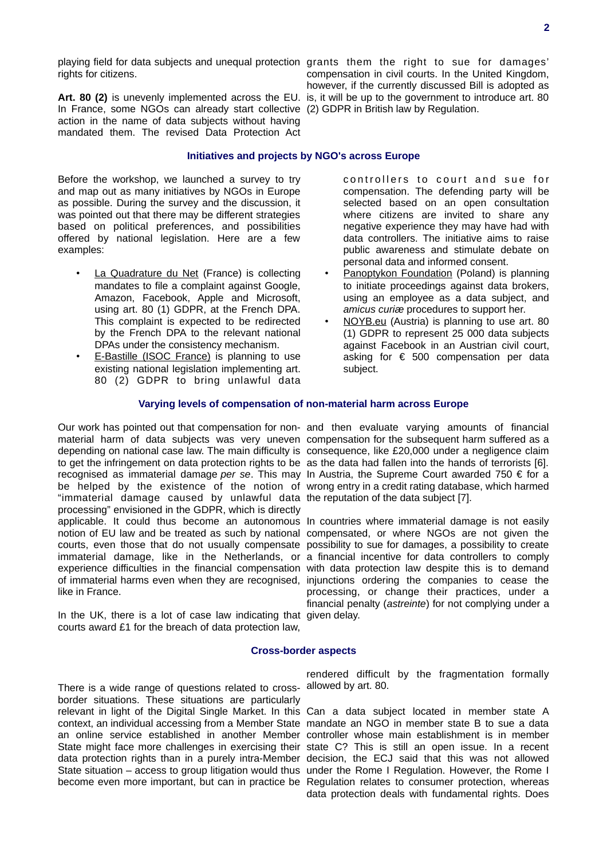rights for citizens.

Art. 80 (2) is unevenly implemented across the EU. is, it will be up to the government to introduce art. 80 In France, some NGOs can already start collective (2) GDPR in British law by Regulation. action in the name of data subjects without having mandated them. The revised Data Protection Act

playing field for data subjects and unequal protection grants them the right to sue for damages' compensation in civil courts. In the United Kingdom, however, if the currently discussed Bill is adopted as

## **Initiatives and projects by NGO's across Europe**

Before the workshop, we launched a survey to try and map out as many initiatives by NGOs in Europe as possible. During the survey and the discussion, it was pointed out that there may be different strategies based on political preferences, and possibilities offered by national legislation. Here are a few examples:

- La Quadrature du Net (France) is collecting mandates to file a complaint against Google, Amazon, Facebook, Apple and Microsoft, using art. 80 (1) GDPR, at the French DPA. This complaint is expected to be redirected by the French DPA to the relevant national DPAs under the consistency mechanism.
- E-Bastille (ISOC France) is planning to use existing national legislation implementing art. 80 (2) GDPR to bring unlawful data

controllers to court and sue for compensation. The defending party will be selected based on an open consultation where citizens are invited to share any negative experience they may have had with data controllers. The initiative aims to raise public awareness and stimulate debate on personal data and informed consent.

- Panoptykon Foundation (Poland) is planning to initiate proceedings against data brokers, using an employee as a data subject, and *amicus curiæ* procedures to support her.
- NOYB.eu (Austria) is planning to use art. 80 (1) GDPR to represent 25 000 data subjects against Facebook in an Austrian civil court, asking for  $\epsilon$  500 compensation per data subject.

## **Varying levels of compensation of non-material harm across Europe**

Our work has pointed out that compensation for non-and then evaluate varying amounts of financial depending on national case law. The main difficulty is consequence, like £20,000 under a negligence claim to get the infringement on data protection rights to be as the data had fallen into the hands of terrorists [6]. recognised as immaterial damage *per se*. This may In Austria, the Supreme Court awarded 750 € for a be helped by the existence of the notion of wrong entry in a credit rating database, which harmed "immaterial damage caused by unlawful data the reputation of the data subject [7]. processing" envisioned in the GDPR, which is directly applicable. It could thus become an autonomous In countries where immaterial damage is not easily notion of EU law and be treated as such by national compensated, or where NGOs are not given the courts, even those that do not usually compensate possibility to sue for damages, a possibility to create experience difficulties in the financial compensation with data protection law despite this is to demand of immaterial harms even when they are recognised, injunctions ordering the companies to cease the like in France.

In the UK, there is a lot of case law indicating that given delay. courts award £1 for the breach of data protection law,

material harm of data subjects was very uneven compensation for the subsequent harm suffered as a

immaterial damage, like in the Netherlands, or a financial incentive for data controllers to comply processing, or change their practices, under a financial penalty (*astreinte*) for not complying under a

#### **Cross-border aspects**

There is a wide range of questions related to cross-allowed by art. 80. border situations. These situations are particularly relevant in light of the Digital Single Market. In this Can a data subject located in member state A context, an individual accessing from a Member State mandate an NGO in member state B to sue a data an online service established in another Member controller whose main establishment is in member State might face more challenges in exercising their state C? This is still an open issue. In a recent data protection rights than in a purely intra-Member decision, the ECJ said that this was not allowed State situation – access to group litigation would thus under the Rome I Regulation. However, the Rome I

rendered difficult by the fragmentation formally

become even more important, but can in practice be Regulation relates to consumer protection, whereas data protection deals with fundamental rights. Does